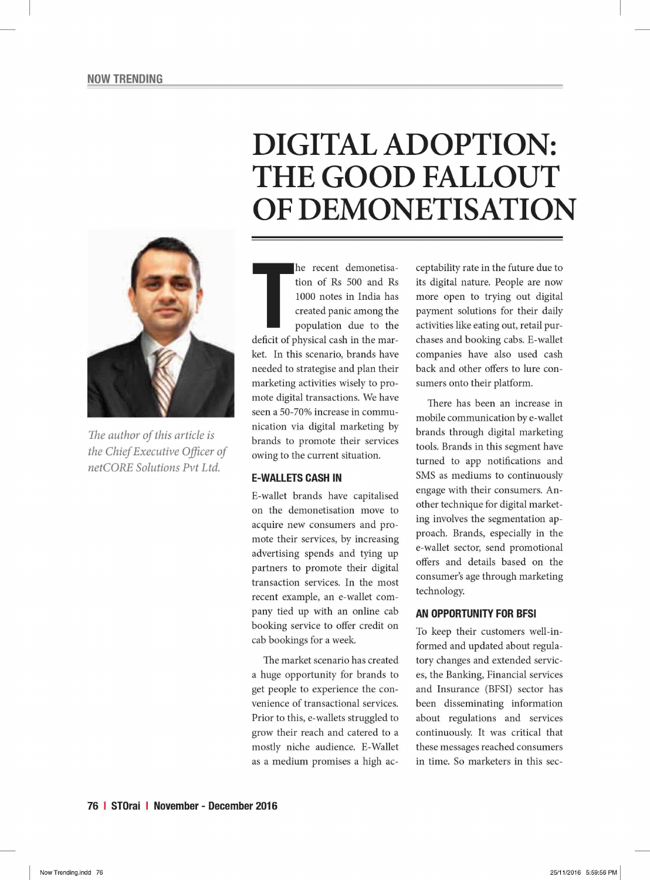# **DIGITAL ADOPTION: THE GOOD FALLOUT OF DEMONETISATION**



*The author of this article is the Chief Executive Officer of netCORE Solutions Pvt Ltd.* 

**THE SET CONCRETE 18 THE MANUS CONTROVIDED SET ON THE MANUS CREAMONG THE MANUS CONTROVIDED SET OF PROPORTION AND A POPULATION OF PROPORTION AND A POPULATION OF PROPORTION AND A POPULATION OF PROPORTION AND A POPULATION OF** he recent demonetisation of Rs 500 and Rs 1000 notes in India has created panic among the population due to the ket. In this scenario, brands have needed to strategise and plan their marketing activities wisely to promote digital transactions. We have seen a 50-70% increase in communication via digital marketing by brands to promote their services owing to the current situation.

## **E-WALLETS CASH IN**

E-wallet brands have capitalised on the demonetisation move to acquire new consumers and promote their services, by increasing advertising spends and tying up partners to promote their digital transaction services. In the most recent example, an e-wallet company tied up with an online cab booking service to offer credit on cab bookings for a week.

The market scenario has created a huge opportunity for brands to get people to experience the convenience of transactional services. Prior to this, e-wallets struggled to grow their reach and catered to a mostly niche audience. E-Wallet as a medium promises a high acceptability rate in the future due to its digital nature. People are now more open to trying out digital payment solutions for their daily activities like eating out, retail purchases and booking cabs. E-wallet companies have also used cash back and other offers to lure consumers onto their platform.

There has been an increase in mobile communication by e-wallet brands through digital marketing tools. Brands in this segment have turned to app notifications and SMS as mediums to continuously engage with their consumers. Another technique for digital marketing involves the segmentation approach. Brands, especially in the e-wallet sector, send promotional offers and details based on the consumer's age through marketing technology.

## **AN OPPORTUNITY FOR BFSI**

To keep their customers well-informed and updated about regulatory changes and extended services, the Banking, Financial services and Insurance (BFSI) sector has been disseminating information about regulations and services continuously. It was critical that these messages reached consumers in time. So marketers in this sec-